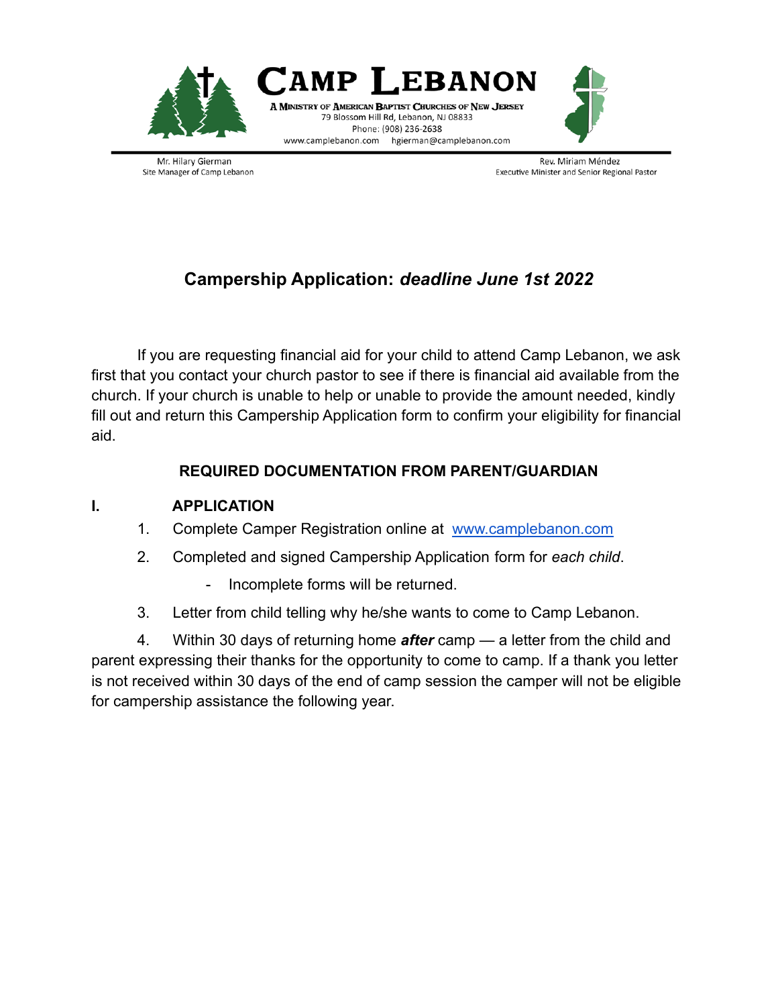



Mr. Hilary Gierman Site Manager of Camp Lebanon

Rev. Miriam Méndez Executive Minister and Senior Regional Pastor

## **Campership Application:** *deadline June 1st 2022*

If you are requesting financial aid for your child to attend Camp Lebanon, we ask first that you contact your church pastor to see if there is financial aid available from the church. If your church is unable to help or unable to provide the amount needed, kindly fill out and return this Campership Application form to confirm your eligibility for financial aid.

## **REQUIRED DOCUMENTATION FROM PARENT/GUARDIAN**

## **I. APPLICATION**

- 1. Complete Camper Registration online at [www.camplebanon.com](http://www.camplebanon.com)
- 2. Completed and signed Campership Application form for *each child*.
	- Incomplete forms will be returned.
- 3. Letter from child telling why he/she wants to come to Camp Lebanon.

4. Within 30 days of returning home *after* camp — a letter from the child and parent expressing their thanks for the opportunity to come to camp. If a thank you letter is not received within 30 days of the end of camp session the camper will not be eligible for campership assistance the following year.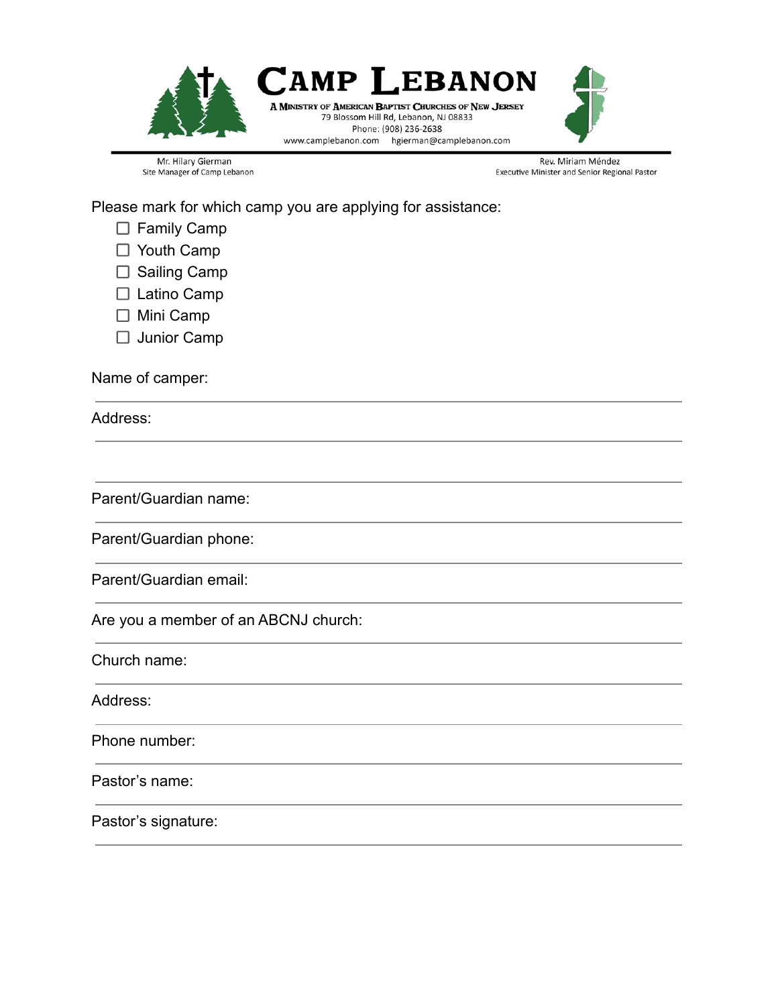

Mr. Hilary Gierman Site Manager of Camp Lebanon

Rev. Miriam Méndez Executive Minister and Senior Regional Pastor

Please mark for which camp you are applying for assistance:

- □ Family Camp
- □ Youth Camp
- $\square$  Sailing Camp
- □ Latino Camp
- □ Mini Camp
- □ Junior Camp

Name of camper:

Address:

Parent/Guardian name:

Parent/Guardian phone:

Parent/Guardian email:

Are you a member of an ABCNJ church:

Church name:

Address:

Phone number:

Pastor's name:

Pastor's signature: